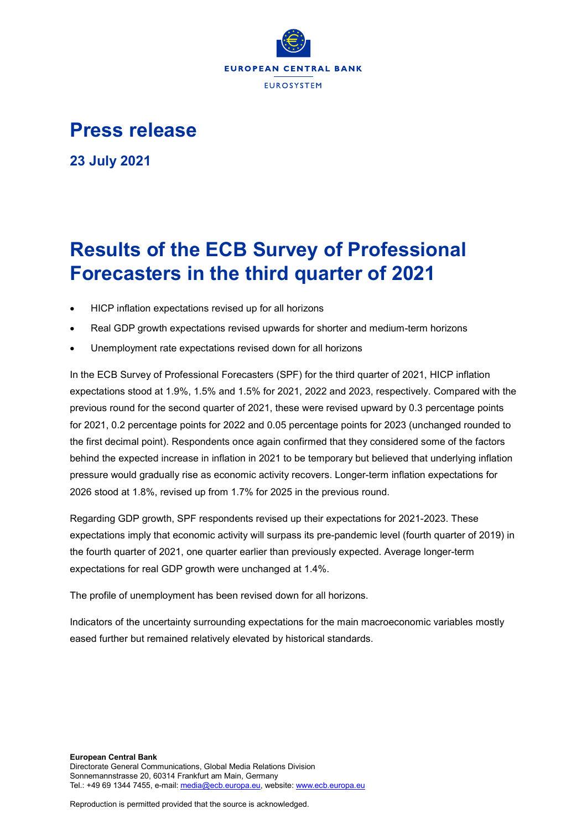

## **Press release**

**23 July 2021**

# **Results of the ECB Survey of Professional Forecasters in the third quarter of 2021**

- HICP inflation expectations revised up for all horizons
- Real GDP growth expectations revised upwards for shorter and medium-term horizons
- Unemployment rate expectations revised down for all horizons

In the ECB Survey of Professional Forecasters (SPF) for the third quarter of 2021, HICP inflation expectations stood at 1.9%, 1.5% and 1.5% for 2021, 2022 and 2023, respectively. Compared with the previous round for the second quarter of 2021, these were revised upward by 0.3 percentage points for 2021, 0.2 percentage points for 2022 and 0.05 percentage points for 2023 (unchanged rounded to the first decimal point). Respondents once again confirmed that they considered some of the factors behind the expected increase in inflation in 2021 to be temporary but believed that underlying inflation pressure would gradually rise as economic activity recovers. Longer-term inflation expectations for 2026 stood at 1.8%, revised up from 1.7% for 2025 in the previous round.

Regarding GDP growth, SPF respondents revised up their expectations for 2021-2023. These expectations imply that economic activity will surpass its pre-pandemic level (fourth quarter of 2019) in the fourth quarter of 2021, one quarter earlier than previously expected. Average longer-term expectations for real GDP growth were unchanged at 1.4%.

The profile of unemployment has been revised down for all horizons.

Indicators of the uncertainty surrounding expectations for the main macroeconomic variables mostly eased further but remained relatively elevated by historical standards.

Reproduction is permitted provided that the source is acknowledged.